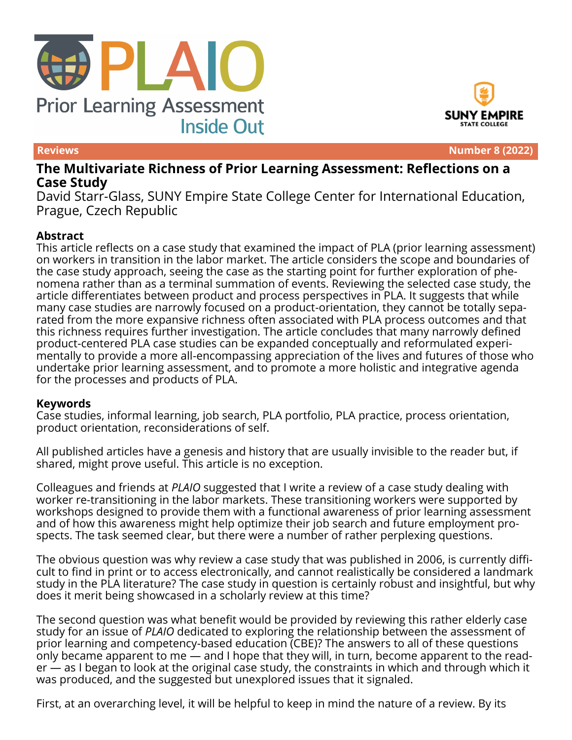



**Reviews Number 8 (2022)**

# **The Multivariate Richness of Prior Learning Assessment: Reflections on a Case Study**

David Starr-Glass, SUNY Empire State College Center for International Education, Prague, Czech Republic

#### **Abstract**

This article reflects on a case study that examined the impact of PLA (prior learning assessment) on workers in transition in the labor market. The article considers the scope and boundaries of the case study approach, seeing the case as the starting point for further exploration of phenomena rather than as a terminal summation of events. Reviewing the selected case study, the article differentiates between product and process perspectives in PLA. It suggests that while many case studies are narrowly focused on a product-orientation, they cannot be totally separated from the more expansive richness often associated with PLA process outcomes and that this richness requires further investigation. The article concludes that many narrowly defined product-centered PLA case studies can be expanded conceptually and reformulated experimentally to provide a more all-encompassing appreciation of the lives and futures of those who undertake prior learning assessment, and to promote a more holistic and integrative agenda for the processes and products of PLA.

#### **Keywords**

Case studies, informal learning, job search, PLA portfolio, PLA practice, process orientation, product orientation, reconsiderations of self.

All published articles have a genesis and history that are usually invisible to the reader but, if shared, might prove useful. This article is no exception.

Colleagues and friends at *PLAIO* suggested that I write a review of a case study dealing with worker re-transitioning in the labor markets. These transitioning workers were supported by workshops designed to provide them with a functional awareness of prior learning assessment and of how this awareness might help optimize their job search and future employment prospects. The task seemed clear, but there were a number of rather perplexing questions.

The obvious question was why review a case study that was published in 2006, is currently difficult to find in print or to access electronically, and cannot realistically be considered a landmark study in the PLA literature? The case study in question is certainly robust and insightful, but why does it merit being showcased in a scholarly review at this time?

The second question was what benefit would be provided by reviewing this rather elderly case study for an issue of *PLAIO* dedicated to exploring the relationship between the assessment of prior learning and competency-based education (CBE)? The answers to all of these questions only became apparent to me — and I hope that they will, in turn, become apparent to the reader — as I began to look at the original case study, the constraints in which and through which it was produced, and the suggested but unexplored issues that it signaled.

First, at an overarching level, it will be helpful to keep in mind the nature of a review. By its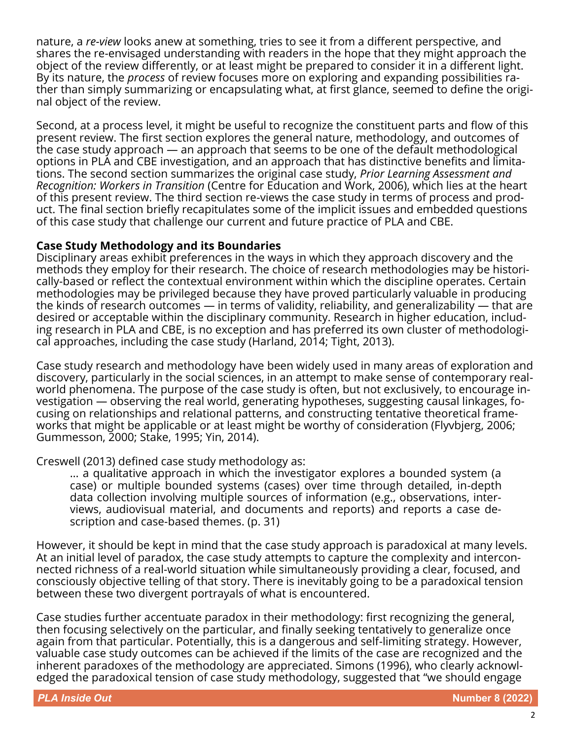nature, a *re-view* looks anew at something, tries to see it from a different perspective, and shares the re-envisaged understanding with readers in the hope that they might approach the object of the review differently, or at least might be prepared to consider it in a different light. By its nature, the *process* of review focuses more on exploring and expanding possibilities rather than simply summarizing or encapsulating what, at first glance, seemed to define the original object of the review.

Second, at a process level, it might be useful to recognize the constituent parts and flow of this present review. The first section explores the general nature, methodology, and outcomes of the case study approach — an approach that seems to be one of the default methodological options in PLA and CBE investigation, and an approach that has distinctive benefits and limitations. The second section summarizes the original case study, *Prior Learning Assessment and Recognition: Workers in Transition* (Centre for Education and Work, 2006), which lies at the heart of this present review. The third section re-views the case study in terms of process and product. The final section briefly recapitulates some of the implicit issues and embedded questions of this case study that challenge our current and future practice of PLA and CBE.

#### **Case Study Methodology and its Boundaries**

Disciplinary areas exhibit preferences in the ways in which they approach discovery and the methods they employ for their research. The choice of research methodologies may be historically-based or reflect the contextual environment within which the discipline operates. Certain methodologies may be privileged because they have proved particularly valuable in producing the kinds of research outcomes — in terms of validity, reliability, and generalizability — that are desired or acceptable within the disciplinary community. Research in higher education, including research in PLA and CBE, is no exception and has preferred its own cluster of methodological approaches, including the case study (Harland, 2014; Tight, 2013).

Case study research and methodology have been widely used in many areas of exploration and discovery, particularly in the social sciences, in an attempt to make sense of contemporary realworld phenomena. The purpose of the case study is often, but not exclusively, to encourage investigation — observing the real world, generating hypotheses, suggesting causal linkages, focusing on relationships and relational patterns, and constructing tentative theoretical frameworks that might be applicable or at least might be worthy of consideration (Flyvbjerg, 2006; Gummesson, 2000; Stake, 1995; Yin, 2014).

Creswell (2013) defined case study methodology as:

… a qualitative approach in which the investigator explores a bounded system (a case) or multiple bounded systems (cases) over time through detailed, in-depth data collection involving multiple sources of information (e.g., observations, interviews, audiovisual material, and documents and reports) and reports a case description and case-based themes. (p. 31)

However, it should be kept in mind that the case study approach is paradoxical at many levels. At an initial level of paradox, the case study attempts to capture the complexity and interconnected richness of a real-world situation while simultaneously providing a clear, focused, and consciously objective telling of that story. There is inevitably going to be a paradoxical tension between these two divergent portrayals of what is encountered.

Case studies further accentuate paradox in their methodology: first recognizing the general, then focusing selectively on the particular, and finally seeking tentatively to generalize once again from that particular. Potentially, this is a dangerous and self-limiting strategy. However, valuable case study outcomes can be achieved if the limits of the case are recognized and the inherent paradoxes of the methodology are appreciated. Simons (1996), who clearly acknowledged the paradoxical tension of case study methodology, suggested that "we should engage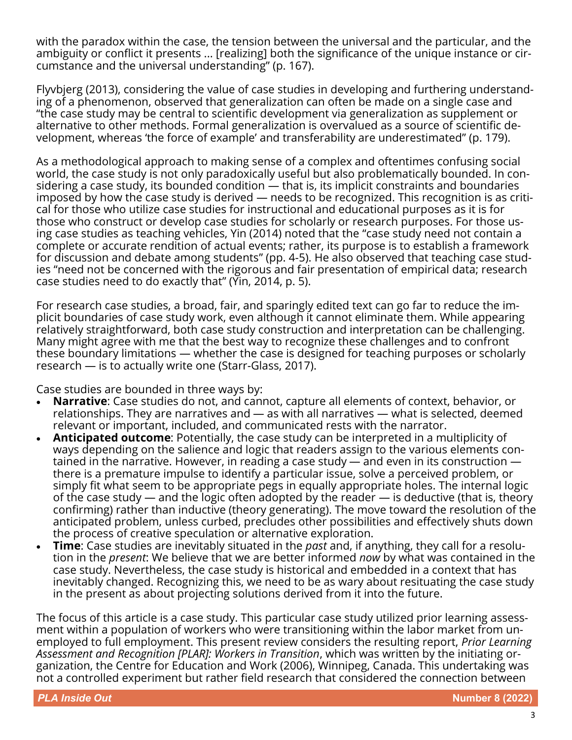with the paradox within the case, the tension between the universal and the particular, and the ambiguity or conflict it presents ... [realizing] both the significance of the unique instance or circumstance and the universal understanding" (p. 167).

Flyvbjerg (2013), considering the value of case studies in developing and furthering understanding of a phenomenon, observed that generalization can often be made on a single case and "the case study may be central to scientific development via generalization as supplement or alternative to other methods. Formal generalization is overvalued as a source of scientific development, whereas 'the force of example' and transferability are underestimated" (p. 179).

As a methodological approach to making sense of a complex and oftentimes confusing social world, the case study is not only paradoxically useful but also problematically bounded. In considering a case study, its bounded condition — that is, its implicit constraints and boundaries imposed by how the case study is derived — needs to be recognized. This recognition is as critical for those who utilize case studies for instructional and educational purposes as it is for those who construct or develop case studies for scholarly or research purposes. For those using case studies as teaching vehicles, Yin (2014) noted that the "case study need not contain a complete or accurate rendition of actual events; rather, its purpose is to establish a framework for discussion and debate among students" (pp. 4-5). He also observed that teaching case studies "need not be concerned with the rigorous and fair presentation of empirical data; research case studies need to do exactly that" (Yin, 2014, p. 5).

For research case studies, a broad, fair, and sparingly edited text can go far to reduce the implicit boundaries of case study work, even although it cannot eliminate them. While appearing relatively straightforward, both case study construction and interpretation can be challenging. Many might agree with me that the best way to recognize these challenges and to confront these boundary limitations — whether the case is designed for teaching purposes or scholarly research — is to actually write one (Starr-Glass, 2017).

Case studies are bounded in three ways by:

- **Narrative**: Case studies do not, and cannot, capture all elements of context, behavior, or relationships. They are narratives and — as with all narratives — what is selected, deemed relevant or important, included, and communicated rests with the narrator.
- **Anticipated outcome**: Potentially, the case study can be interpreted in a multiplicity of ways depending on the salience and logic that readers assign to the various elements contained in the narrative. However, in reading a case study — and even in its construction there is a premature impulse to identify a particular issue, solve a perceived problem, or simply fit what seem to be appropriate pegs in equally appropriate holes. The internal logic of the case study — and the logic often adopted by the reader — is deductive (that is, theory confirming) rather than inductive (theory generating). The move toward the resolution of the anticipated problem, unless curbed, precludes other possibilities and effectively shuts down the process of creative speculation or alternative exploration.
- **Time**: Case studies are inevitably situated in the *past* and, if anything, they call for a resolution in the *present*: We believe that we are better informed *now* by what was contained in the case study. Nevertheless, the case study is historical and embedded in a context that has inevitably changed. Recognizing this, we need to be as wary about resituating the case study in the present as about projecting solutions derived from it into the future.

The focus of this article is a case study. This particular case study utilized prior learning assessment within a population of workers who were transitioning within the labor market from unemployed to full employment. This present review considers the resulting report, *Prior Learning Assessment and Recognition [PLAR]: Workers in Transition*, which was written by the initiating organization, the Centre for Education and Work (2006), Winnipeg, Canada. This undertaking was not a controlled experiment but rather field research that considered the connection between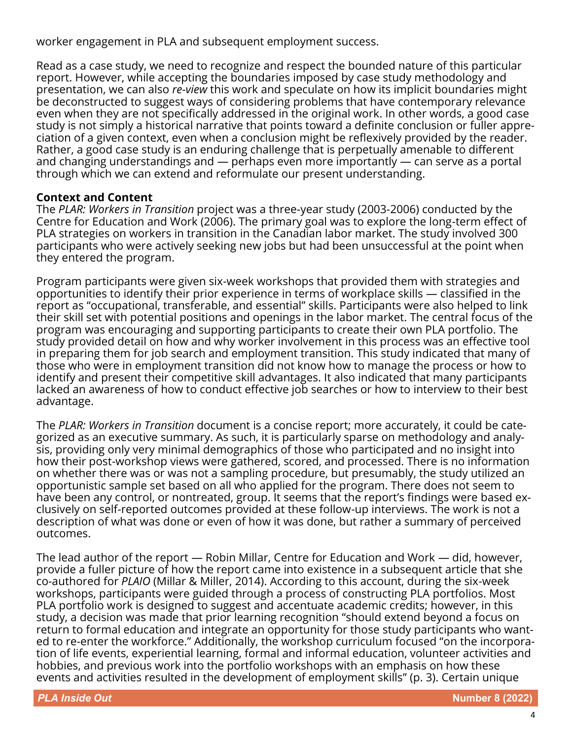worker engagement in PLA and subsequent employment success.

Read as a case study, we need to recognize and respect the bounded nature of this particular report. However, while accepting the boundaries imposed by case study methodology and presentation, we can also *re-view* this work and speculate on how its implicit boundaries might be deconstructed to suggest ways of considering problems that have contemporary relevance even when they are not specifically addressed in the original work. In other words, a good case study is not simply a historical narrative that points toward a definite conclusion or fuller appreciation of a given context, even when a conclusion might be reflexively provided by the reader. Rather, a good case study is an enduring challenge that is perpetually amenable to different and changing understandings and — perhaps even more importantly — can serve as a portal through which we can extend and reformulate our present understanding.

### **Context and Content**

The *PLAR: Workers in Transition* project was a three-year study (2003-2006) conducted by the Centre for Education and Work (2006). The primary goal was to explore the long-term effect of PLA strategies on workers in transition in the Canadian labor market. The study involved 300 participants who were actively seeking new jobs but had been unsuccessful at the point when they entered the program.

Program participants were given six-week workshops that provided them with strategies and opportunities to identify their prior experience in terms of workplace skills — classified in the report as "occupational, transferable, and essential" skills. Participants were also helped to link their skill set with potential positions and openings in the labor market. The central focus of the program was encouraging and supporting participants to create their own PLA portfolio. The study provided detail on how and why worker involvement in this process was an effective tool in preparing them for job search and employment transition. This study indicated that many of those who were in employment transition did not know how to manage the process or how to identify and present their competitive skill advantages. It also indicated that many participants lacked an awareness of how to conduct effective job searches or how to interview to their best advantage.

The *PLAR: Workers in Transition* document is a concise report; more accurately, it could be categorized as an executive summary. As such, it is particularly sparse on methodology and analysis, providing only very minimal demographics of those who participated and no insight into how their post-workshop views were gathered, scored, and processed. There is no information on whether there was or was not a sampling procedure, but presumably, the study utilized an opportunistic sample set based on all who applied for the program. There does not seem to have been any control, or nontreated, group. It seems that the report's findings were based exclusively on self-reported outcomes provided at these follow-up interviews. The work is not a description of what was done or even of how it was done, but rather a summary of perceived outcomes.

The lead author of the report — Robin Millar, Centre for Education and Work — did, however, provide a fuller picture of how the report came into existence in a subsequent article that she co-authored for *PLAIO* (Millar & Miller, 2014). According to this account, during the six-week workshops, participants were guided through a process of constructing PLA portfolios. Most PLA portfolio work is designed to suggest and accentuate academic credits; however, in this study, a decision was made that prior learning recognition "should extend beyond a focus on return to formal education and integrate an opportunity for those study participants who wanted to re-enter the workforce." Additionally, the workshop curriculum focused "on the incorporation of life events, experiential learning, formal and informal education, volunteer activities and hobbies, and previous work into the portfolio workshops with an emphasis on how these events and activities resulted in the development of employment skills" (p. 3). Certain unique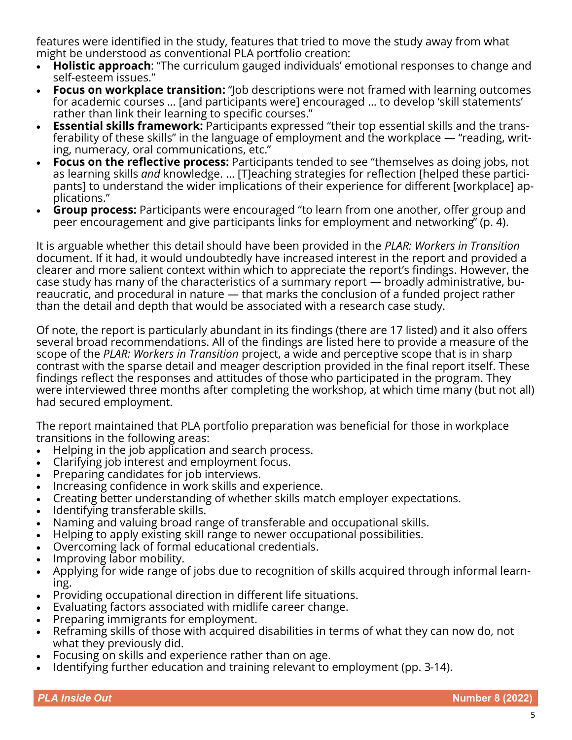features were identified in the study, features that tried to move the study away from what might be understood as conventional PLA portfolio creation:

- **Holistic approach**: "The curriculum gauged individuals' emotional responses to change and self-esteem issues."
- **Focus on workplace transition:** "Job descriptions were not framed with learning outcomes for academic courses … [and participants were] encouraged … to develop 'skill statements' rather than link their learning to specific courses."
- **Essential skills framework:** Participants expressed "their top essential skills and the transferability of these skills" in the language of employment and the workplace — "reading, writing, numeracy, oral communications, etc."
- **Focus on the reflective process:** Participants tended to see "themselves as doing jobs, not as learning skills *and* knowledge. … [T]eaching strategies for reflection [helped these participants] to understand the wider implications of their experience for different [workplace] applications."
- **Group process:** Participants were encouraged "to learn from one another, offer group and peer encouragement and give participants links for employment and networking" (p. 4).

It is arguable whether this detail should have been provided in the *PLAR: Workers in Transition*  document. If it had, it would undoubtedly have increased interest in the report and provided a clearer and more salient context within which to appreciate the report's findings. However, the case study has many of the characteristics of a summary report — broadly administrative, bureaucratic, and procedural in nature — that marks the conclusion of a funded project rather than the detail and depth that would be associated with a research case study.

Of note, the report is particularly abundant in its findings (there are 17 listed) and it also offers several broad recommendations. All of the findings are listed here to provide a measure of the scope of the *PLAR: Workers in Transition* project, a wide and perceptive scope that is in sharp contrast with the sparse detail and meager description provided in the final report itself. These findings reflect the responses and attitudes of those who participated in the program. They were interviewed three months after completing the workshop, at which time many (but not all) had secured employment.

The report maintained that PLA portfolio preparation was beneficial for those in workplace transitions in the following areas:

- Helping in the job application and search process.
- Clarifying job interest and employment focus.
- Preparing candidates for job interviews.
- Increasing confidence in work skills and experience.
- Creating better understanding of whether skills match employer expectations.
- Identifying transferable skills.
- Naming and valuing broad range of transferable and occupational skills.
- Helping to apply existing skill range to newer occupational possibilities.
- Overcoming lack of formal educational credentials.
- Improving labor mobility.
- Applying for wide range of jobs due to recognition of skills acquired through informal learning.
- Providing occupational direction in different life situations.
- Evaluating factors associated with midlife career change.
- Preparing immigrants for employment.
- Reframing skills of those with acquired disabilities in terms of what they can now do, not what they previously did.
- Focusing on skills and experience rather than on age.
- Identifying further education and training relevant to employment (pp. 3-14).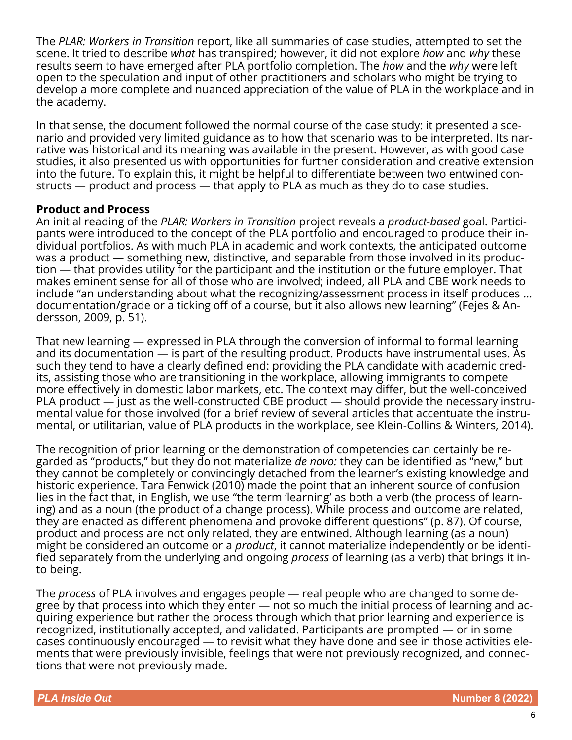The *PLAR: Workers in Transition* report, like all summaries of case studies, attempted to set the scene. It tried to describe *what* has transpired; however, it did not explore *how* and *why* these results seem to have emerged after PLA portfolio completion. The *how* and the *why* were left open to the speculation and input of other practitioners and scholars who might be trying to develop a more complete and nuanced appreciation of the value of PLA in the workplace and in the academy.

In that sense, the document followed the normal course of the case study: it presented a scenario and provided very limited guidance as to how that scenario was to be interpreted. Its narrative was historical and its meaning was available in the present. However, as with good case studies, it also presented us with opportunities for further consideration and creative extension into the future. To explain this, it might be helpful to differentiate between two entwined constructs — product and process — that apply to PLA as much as they do to case studies.

#### **Product and Process**

An initial reading of the *PLAR: Workers in Transition* project reveals a *product-based* goal. Participants were introduced to the concept of the PLA portfolio and encouraged to produce their individual portfolios. As with much PLA in academic and work contexts, the anticipated outcome was a product — something new, distinctive, and separable from those involved in its production — that provides utility for the participant and the institution or the future employer. That makes eminent sense for all of those who are involved; indeed, all PLA and CBE work needs to include "an understanding about what the recognizing/assessment process in itself produces … documentation/grade or a ticking off of a course, but it also allows new learning" (Fejes & Andersson, 2009, p. 51).

That new learning — expressed in PLA through the conversion of informal to formal learning and its documentation — is part of the resulting product. Products have instrumental uses. As such they tend to have a clearly defined end: providing the PLA candidate with academic credits, assisting those who are transitioning in the workplace, allowing immigrants to compete more effectively in domestic labor markets, etc. The context may differ, but the well-conceived PLA product — just as the well-constructed CBE product — should provide the necessary instrumental value for those involved (for a brief review of several articles that accentuate the instrumental, or utilitarian, value of PLA products in the workplace, see Klein-Collins & Winters, 2014).

The recognition of prior learning or the demonstration of competencies can certainly be regarded as "products," but they do not materialize *de novo:* they can be identified as "new," but they cannot be completely or convincingly detached from the learner's existing knowledge and historic experience. Tara Fenwick (2010) made the point that an inherent source of confusion lies in the fact that, in English, we use "the term 'learning' as both a verb (the process of learning) and as a noun (the product of a change process). While process and outcome are related, they are enacted as different phenomena and provoke different questions" (p. 87). Of course, product and process are not only related, they are entwined. Although learning (as a noun) might be considered an outcome or a *product*, it cannot materialize independently or be identified separately from the underlying and ongoing *process* of learning (as a verb) that brings it into being.

The *process* of PLA involves and engages people — real people who are changed to some degree by that process into which they enter — not so much the initial process of learning and acquiring experience but rather the process through which that prior learning and experience is recognized, institutionally accepted, and validated. Participants are prompted — or in some cases continuously encouraged — to revisit what they have done and see in those activities elements that were previously invisible, feelings that were not previously recognized, and connections that were not previously made.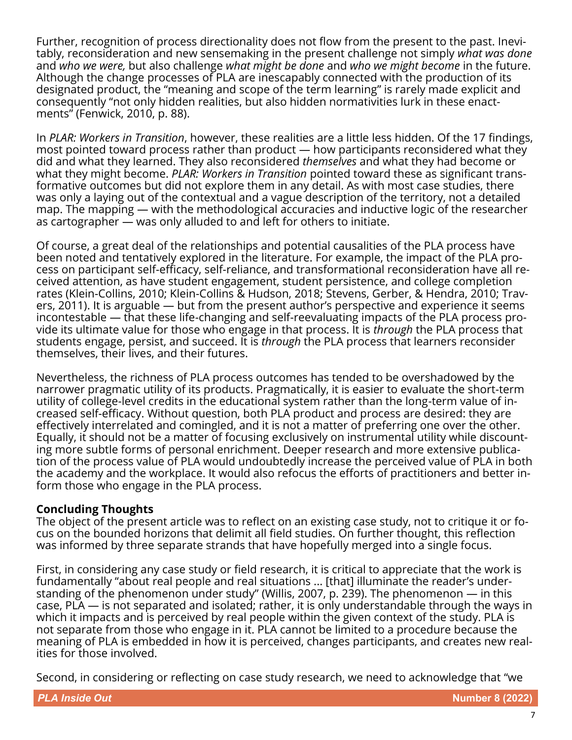Further, recognition of process directionality does not flow from the present to the past. Inevitably, reconsideration and new sensemaking in the present challenge not simply *what was done* and *who we were,* but also challenge *what might be done* and *who we might become* in the future. Although the change processes of PLA are inescapably connected with the production of its designated product, the "meaning and scope of the term learning" is rarely made explicit and consequently "not only hidden realities, but also hidden normativities lurk in these enactments" (Fenwick, 2010, p. 88).

In *PLAR: Workers in Transition*, however, these realities are a little less hidden. Of the 17 findings, most pointed toward process rather than product — how participants reconsidered what they did and what they learned. They also reconsidered *themselves* and what they had become or what they might become. *PLAR: Workers in Transition* pointed toward these as significant transformative outcomes but did not explore them in any detail. As with most case studies, there was only a laying out of the contextual and a vague description of the territory, not a detailed map. The mapping — with the methodological accuracies and inductive logic of the researcher as cartographer — was only alluded to and left for others to initiate.

Of course, a great deal of the relationships and potential causalities of the PLA process have been noted and tentatively explored in the literature. For example, the impact of the PLA process on participant self-efficacy, self-reliance, and transformational reconsideration have all received attention, as have student engagement, student persistence, and college completion rates (Klein-Collins, 2010; Klein-Collins & Hudson, 2018; Stevens, Gerber, & Hendra, 2010; Travers, 2011). It is arguable — but from the present author's perspective and experience it seems incontestable — that these life-changing and self-reevaluating impacts of the PLA process provide its ultimate value for those who engage in that process. It is *through* the PLA process that students engage, persist, and succeed. It is *through* the PLA process that learners reconsider themselves, their lives, and their futures.

Nevertheless, the richness of PLA process outcomes has tended to be overshadowed by the narrower pragmatic utility of its products. Pragmatically, it is easier to evaluate the short-term utility of college-level credits in the educational system rather than the long-term value of increased self-efficacy. Without question, both PLA product and process are desired: they are effectively interrelated and comingled, and it is not a matter of preferring one over the other. Equally, it should not be a matter of focusing exclusively on instrumental utility while discounting more subtle forms of personal enrichment. Deeper research and more extensive publication of the process value of PLA would undoubtedly increase the perceived value of PLA in both the academy and the workplace. It would also refocus the efforts of practitioners and better inform those who engage in the PLA process.

#### **Concluding Thoughts**

The object of the present article was to reflect on an existing case study, not to critique it or focus on the bounded horizons that delimit all field studies. On further thought, this reflection was informed by three separate strands that have hopefully merged into a single focus.

First, in considering any case study or field research, it is critical to appreciate that the work is fundamentally "about real people and real situations ... [that] illuminate the reader's understanding of the phenomenon under study" (Willis, 2007, p. 239). The phenomenon — in this case, PLA — is not separated and isolated; rather, it is only understandable through the ways in which it impacts and is perceived by real people within the given context of the study. PLA is not separate from those who engage in it. PLA cannot be limited to a procedure because the meaning of PLA is embedded in how it is perceived, changes participants, and creates new realities for those involved.

Second, in considering or reflecting on case study research, we need to acknowledge that "we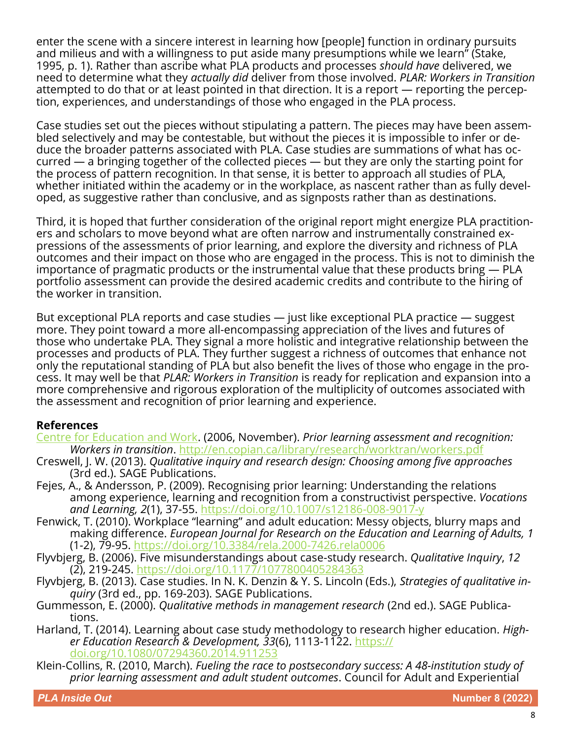enter the scene with a sincere interest in learning how [people] function in ordinary pursuits and milieus and with a willingness to put aside many presumptions while we learn" (Stake, 1995, p. 1). Rather than ascribe what PLA products and processes *should have* delivered, we need to determine what they *actually did* deliver from those involved. *PLAR: Workers in Transition* attempted to do that or at least pointed in that direction. It is a report — reporting the perception, experiences, and understandings of those who engaged in the PLA process.

Case studies set out the pieces without stipulating a pattern. The pieces may have been assembled selectively and may be contestable, but without the pieces it is impossible to infer or deduce the broader patterns associated with PLA. Case studies are summations of what has occurred — a bringing together of the collected pieces — but they are only the starting point for the process of pattern recognition. In that sense, it is better to approach all studies of PLA, whether initiated within the academy or in the workplace, as nascent rather than as fully developed, as suggestive rather than conclusive, and as signposts rather than as destinations.

Third, it is hoped that further consideration of the original report might energize PLA practitioners and scholars to move beyond what are often narrow and instrumentally constrained expressions of the assessments of prior learning, and explore the diversity and richness of PLA outcomes and their impact on those who are engaged in the process. This is not to diminish the importance of pragmatic products or the instrumental value that these products bring — PLA portfolio assessment can provide the desired academic credits and contribute to the hiring of the worker in transition.

But exceptional PLA reports and case studies — just like exceptional PLA practice — suggest more. They point toward a more all-encompassing appreciation of the lives and futures of those who undertake PLA. They signal a more holistic and integrative relationship between the processes and products of PLA. They further suggest a richness of outcomes that enhance not only the reputational standing of PLA but also benefit the lives of those who engage in the process. It may well be that *PLAR: Workers in Transition* is ready for replication and expansion into a more comprehensive and rigorous exploration of the multiplicity of outcomes associated with the assessment and recognition of prior learning and experience.

## **References**

Centre for Education and Work. (2006, November). *Prior learning assessment and recognition: Workers in transition*. <http://en.copian.ca/library/research/worktran/workers.pdf>

- Creswell, J. W. (2013). *Qualitative inquiry and research design: Choosing among five approaches* (3rd ed.). SAGE Publications.
- Fejes, A., & Andersson, P. (2009). Recognising prior learning: Understanding the relations among experience, learning and recognition from a constructivist perspective. *Vocations and Learning, 2*(1), 37-55. [https://doi.org/10.1007/s12186](https://doi.org/10.1007/s12186-008-9017-y)-008-9017-y
- Fenwick, T. (2010). Workplace "learning" and adult education: Messy objects, blurry maps and making difference. *European Journal for Research on the Education and Learning of Adults, 1* (1-2), 79-95. [https://doi.org/10.3384/rela.2000](https://doi.org/10.3384/rela.2000-7426.rela0006)-7426.rela0006
- Flyvbjerg, B. (2006). Five misunderstandings about case-study research. *Qualitative Inquiry*, *12* (2), 219-245.<https://doi.org/10.1177/1077800405284363>
- Flyvbjerg, B. (2013). Case studies. In N. K. Denzin & Y. S. Lincoln (Eds.), *Strategies of qualitative inquiry* (3rd ed., pp. 169-203). SAGE Publications.
- Gummesson, E. (2000). *Qualitative methods in management research* (2nd ed.). SAGE Publications.
- Harland, T. (2014). Learning about case study methodology to research higher education. *Higher Education Research & Development, 33*(6), 1113-1122. [https://](https://doi.org/10.1080/07294360.2014.911253) [doi.org/10.1080/07294360.2014.911253](https://doi.org/10.1080/07294360.2014.911253)
- Klein-Collins, R. (2010, March). *Fueling the race to postsecondary success: A 48-institution study of prior learning assessment and adult student outcomes*. Council for Adult and Experiential